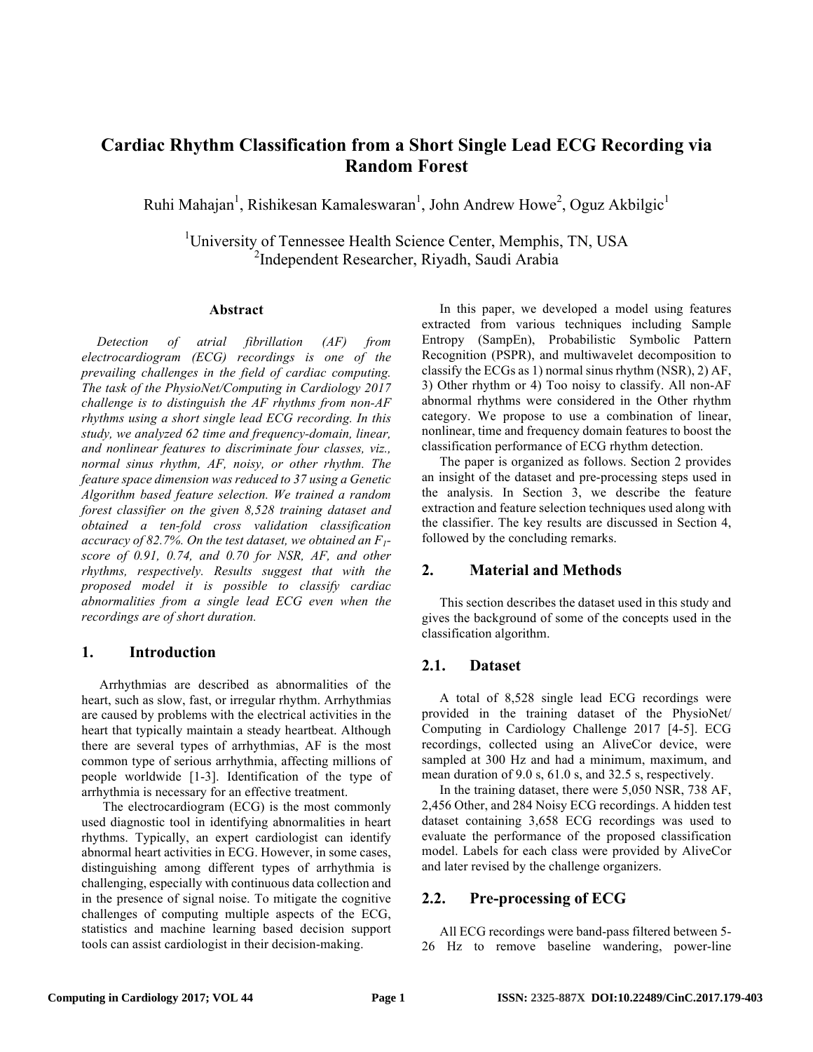# **Cardiac Rhythm Classification from a Short Single Lead ECG Recording via Random Forest**

Ruhi Mahajan<sup>1</sup>, Rishikesan Kamaleswaran<sup>1</sup>, John Andrew Howe<sup>2</sup>, Oguz Akbilgic<sup>1</sup>

<sup>1</sup>University of Tennessee Health Science Center, Memphis, TN, USA 2 Independent Researcher, Riyadh, Saudi Arabia

#### **Abstract**

*Detection of atrial fibrillation (AF) from electrocardiogram (ECG) recordings is one of the prevailing challenges in the field of cardiac computing. The task of the PhysioNet/Computing in Cardiology 2017 challenge is to distinguish the AF rhythms from non-AF rhythms using a short single lead ECG recording. In this study, we analyzed 62 time and frequency-domain, linear, and nonlinear features to discriminate four classes, viz., normal sinus rhythm, AF, noisy, or other rhythm. The feature space dimension was reduced to 37 using a Genetic Algorithm based feature selection. We trained a random forest classifier on the given 8,528 training dataset and obtained a ten-fold cross validation classification accuracy of 82.7%. On the test dataset, we obtained an F1 score of 0.91, 0.74, and 0.70 for NSR, AF, and other rhythms, respectively. Results suggest that with the proposed model it is possible to classify cardiac abnormalities from a single lead ECG even when the recordings are of short duration.* 

## **1. Introduction**

Arrhythmias are described as abnormalities of the heart, such as slow, fast, or irregular rhythm. Arrhythmias are caused by problems with the electrical activities in the heart that typically maintain a steady heartbeat. Although there are several types of arrhythmias, AF is the most common type of serious arrhythmia, affecting millions of people worldwide [1-3]. Identification of the type of arrhythmia is necessary for an effective treatment.

The electrocardiogram (ECG) is the most commonly used diagnostic tool in identifying abnormalities in heart rhythms. Typically, an expert cardiologist can identify abnormal heart activities in ECG. However, in some cases, distinguishing among different types of arrhythmia is challenging, especially with continuous data collection and in the presence of signal noise. To mitigate the cognitive challenges of computing multiple aspects of the ECG, statistics and machine learning based decision support tools can assist cardiologist in their decision-making.

In this paper, we developed a model using features extracted from various techniques including Sample Entropy (SampEn), Probabilistic Symbolic Pattern Recognition (PSPR), and multiwavelet decomposition to classify the ECGs as 1) normal sinus rhythm (NSR), 2) AF, 3) Other rhythm or 4) Too noisy to classify. All non-AF abnormal rhythms were considered in the Other rhythm category. We propose to use a combination of linear, nonlinear, time and frequency domain features to boost the classification performance of ECG rhythm detection.

The paper is organized as follows. Section 2 provides an insight of the dataset and pre-processing steps used in the analysis. In Section 3, we describe the feature extraction and feature selection techniques used along with the classifier. The key results are discussed in Section 4, followed by the concluding remarks.

## **2. Material and Methods**

This section describes the dataset used in this study and gives the background of some of the concepts used in the classification algorithm.

## **2.1. Dataset**

A total of 8,528 single lead ECG recordings were provided in the training dataset of the PhysioNet/ Computing in Cardiology Challenge 2017 [4-5]. ECG recordings, collected using an AliveCor device, were sampled at 300 Hz and had a minimum, maximum, and mean duration of 9.0 s, 61.0 s, and 32.5 s, respectively.

In the training dataset, there were 5,050 NSR, 738 AF, 2,456 Other, and 284 Noisy ECG recordings. A hidden test dataset containing 3,658 ECG recordings was used to evaluate the performance of the proposed classification model. Labels for each class were provided by AliveCor and later revised by the challenge organizers.

# **2.2. Pre-processing of ECG**

All ECG recordings were band-pass filtered between 5- 26 Hz to remove baseline wandering, power-line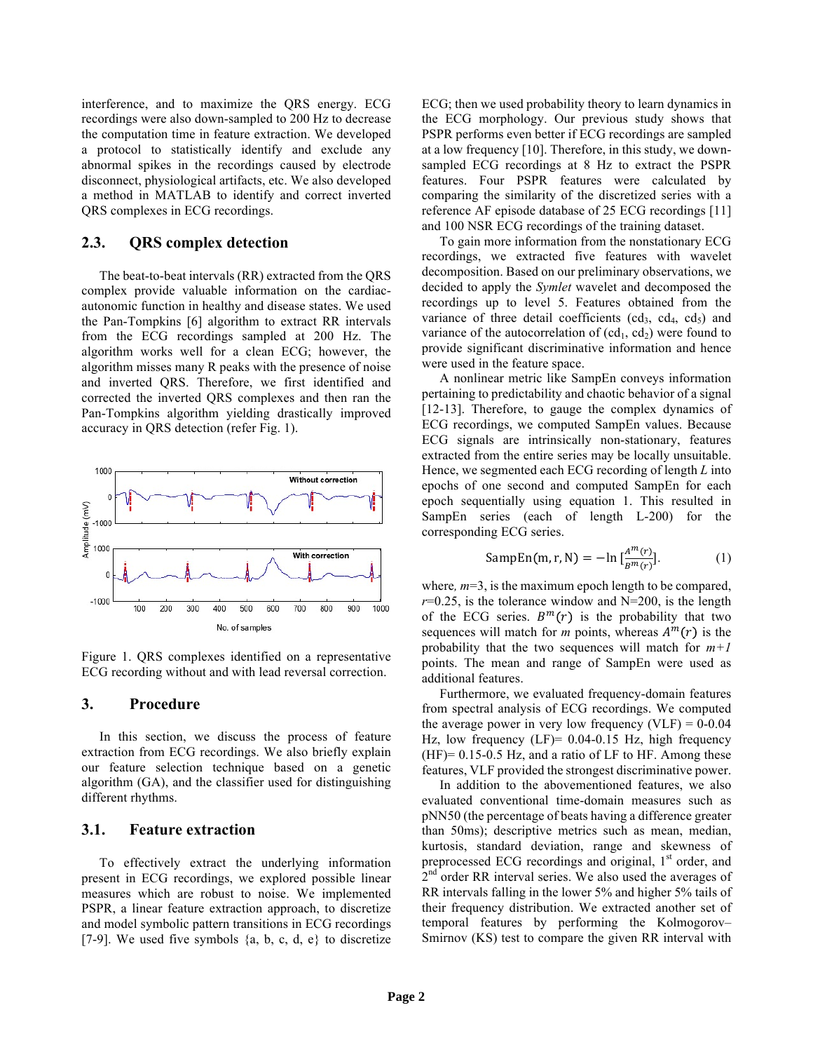interference, and to maximize the QRS energy. ECG recordings were also down-sampled to 200 Hz to decrease the computation time in feature extraction. We developed a protocol to statistically identify and exclude any abnormal spikes in the recordings caused by electrode disconnect, physiological artifacts, etc. We also developed a method in MATLAB to identify and correct inverted QRS complexes in ECG recordings.

# **2.3. QRS complex detection**

The beat-to-beat intervals (RR) extracted from the QRS complex provide valuable information on the cardiacautonomic function in healthy and disease states. We used the Pan-Tompkins [6] algorithm to extract RR intervals from the ECG recordings sampled at 200 Hz. The algorithm works well for a clean ECG; however, the algorithm misses many R peaks with the presence of noise and inverted QRS. Therefore, we first identified and corrected the inverted QRS complexes and then ran the Pan-Tompkins algorithm yielding drastically improved accuracy in QRS detection (refer Fig. 1).



Figure 1. QRS complexes identified on a representative ECG recording without and with lead reversal correction.

#### **3. Procedure**

In this section, we discuss the process of feature extraction from ECG recordings. We also briefly explain our feature selection technique based on a genetic algorithm (GA), and the classifier used for distinguishing different rhythms.

#### **3.1. Feature extraction**

To effectively extract the underlying information present in ECG recordings, we explored possible linear measures which are robust to noise. We implemented PSPR, a linear feature extraction approach, to discretize and model symbolic pattern transitions in ECG recordings [7-9]. We used five symbols  $\{a, b, c, d, e\}$  to discretize ECG; then we used probability theory to learn dynamics in the ECG morphology. Our previous study shows that PSPR performs even better if ECG recordings are sampled at a low frequency [10]. Therefore, in this study, we downsampled ECG recordings at 8 Hz to extract the PSPR features. Four PSPR features were calculated by comparing the similarity of the discretized series with a reference AF episode database of 25 ECG recordings [11] and 100 NSR ECG recordings of the training dataset.

 To gain more information from the nonstationary ECG recordings, we extracted five features with wavelet decomposition. Based on our preliminary observations, we decided to apply the *Symlet* wavelet and decomposed the recordings up to level 5. Features obtained from the variance of three detail coefficients  $(cd_3, cd_4, cd_5)$  and variance of the autocorrelation of  $(cd_1, cd_2)$  were found to provide significant discriminative information and hence were used in the feature space.

A nonlinear metric like SampEn conveys information pertaining to predictability and chaotic behavior of a signal [12-13]. Therefore, to gauge the complex dynamics of ECG recordings, we computed SampEn values. Because ECG signals are intrinsically non-stationary, features extracted from the entire series may be locally unsuitable. Hence, we segmented each ECG recording of length *L* into epochs of one second and computed SampEn for each epoch sequentially using equation 1. This resulted in SampEn series (each of length L-200) for the corresponding ECG series.

$$
SampEn(m, r, N) = -\ln \left[ \frac{A^m(r)}{B^m(r)} \right]. \tag{1}
$$

where*, m*=3, is the maximum epoch length to be compared,  $r=0.25$ , is the tolerance window and N=200, is the length of the ECG series.  $B^m(r)$  is the probability that two sequences will match for *m* points, whereas  $A^m(r)$  is the probability that the two sequences will match for  $m+1$ points. The mean and range of SampEn were used as additional features.

Furthermore, we evaluated frequency-domain features from spectral analysis of ECG recordings. We computed the average power in very low frequency  $(VLF) = 0-0.04$ Hz, low frequency  $(LF) = 0.04-0.15$  Hz, high frequency  $(HF)= 0.15-0.5$  Hz, and a ratio of LF to HF. Among these features, VLF provided the strongest discriminative power.

In addition to the abovementioned features, we also evaluated conventional time-domain measures such as pNN50 (the percentage of beats having a difference greater than 50ms); descriptive metrics such as mean, median, kurtosis, standard deviation, range and skewness of preprocessed ECG recordings and original, 1<sup>st</sup> order, and 2<sup>nd</sup> order RR interval series. We also used the averages of RR intervals falling in the lower 5% and higher 5% tails of their frequency distribution. We extracted another set of temporal features by performing the Kolmogorov– Smirnov (KS) test to compare the given RR interval with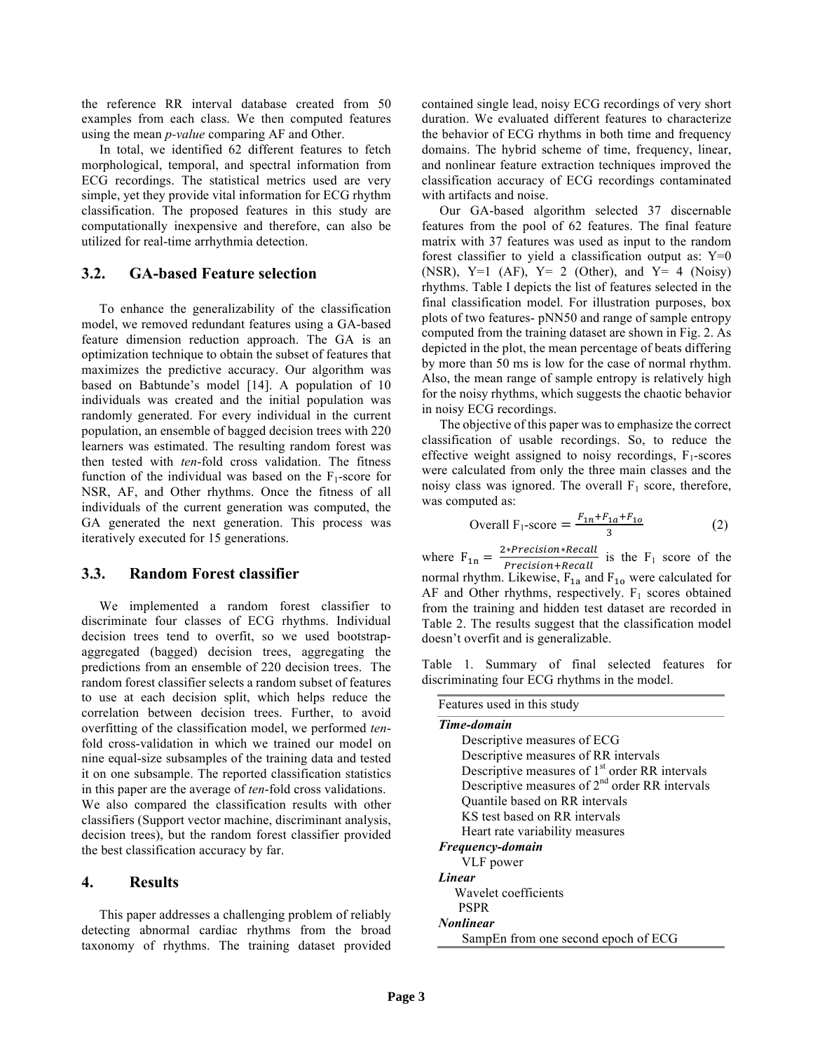the reference RR interval database created from 50 examples from each class. We then computed features using the mean *p-value* comparing AF and Other.

In total, we identified 62 different features to fetch morphological, temporal, and spectral information from ECG recordings. The statistical metrics used are very simple, yet they provide vital information for ECG rhythm classification. The proposed features in this study are computationally inexpensive and therefore, can also be utilized for real-time arrhythmia detection.

## **3.2. GA-based Feature selection**

To enhance the generalizability of the classification model, we removed redundant features using a GA-based feature dimension reduction approach. The GA is an optimization technique to obtain the subset of features that maximizes the predictive accuracy. Our algorithm was based on Babtunde's model [14]. A population of 10 individuals was created and the initial population was randomly generated. For every individual in the current population, an ensemble of bagged decision trees with 220 learners was estimated. The resulting random forest was then tested with *ten*-fold cross validation. The fitness function of the individual was based on the  $F_1$ -score for NSR, AF, and Other rhythms. Once the fitness of all individuals of the current generation was computed, the GA generated the next generation. This process was iteratively executed for 15 generations.

# **3.3. Random Forest classifier**

We implemented a random forest classifier to discriminate four classes of ECG rhythms. Individual decision trees tend to overfit, so we used bootstrapaggregated (bagged) decision trees, aggregating the predictions from an ensemble of 220 decision trees. The random forest classifier selects a random subset of features to use at each decision split, which helps reduce the correlation between decision trees. Further, to avoid overfitting of the classification model, we performed *ten*fold cross-validation in which we trained our model on nine equal-size subsamples of the training data and tested it on one subsample. The reported classification statistics in this paper are the average of *ten*-fold cross validations. We also compared the classification results with other classifiers (Support vector machine, discriminant analysis, decision trees), but the random forest classifier provided the best classification accuracy by far.

## **4. Results**

This paper addresses a challenging problem of reliably detecting abnormal cardiac rhythms from the broad taxonomy of rhythms. The training dataset provided

contained single lead, noisy ECG recordings of very short duration. We evaluated different features to characterize the behavior of ECG rhythms in both time and frequency domains. The hybrid scheme of time, frequency, linear, and nonlinear feature extraction techniques improved the classification accuracy of ECG recordings contaminated with artifacts and noise.

Our GA-based algorithm selected 37 discernable features from the pool of 62 features. The final feature matrix with 37 features was used as input to the random forest classifier to yield a classification output as:  $Y=0$ (NSR),  $Y=1$  (AF),  $Y=2$  (Other), and  $Y=4$  (Noisy) rhythms. Table I depicts the list of features selected in the final classification model. For illustration purposes, box plots of two features- pNN50 and range of sample entropy computed from the training dataset are shown in Fig. 2. As depicted in the plot, the mean percentage of beats differing by more than 50 ms is low for the case of normal rhythm. Also, the mean range of sample entropy is relatively high for the noisy rhythms, which suggests the chaotic behavior in noisy ECG recordings.

The objective of this paper was to emphasize the correct classification of usable recordings. So, to reduce the effective weight assigned to noisy recordings,  $F_1$ -scores were calculated from only the three main classes and the noisy class was ignored. The overall  $F_1$  score, therefore, was computed as:

Overall F<sub>1</sub>-score = 
$$
\frac{F_{1n} + F_{1a} + F_{1o}}{3}
$$
 (2)

where  $F_{1n} = \frac{2*Precision*Recall}{Precision+Recall}$  is the  $F_1$  score of the normal rhythm. Likewise,  $F_{1a}$  and  $F_{10}$  were calculated for AF and Other rhythms, respectively.  $F_1$  scores obtained from the training and hidden test dataset are recorded in Table 2. The results suggest that the classification model doesn't overfit and is generalizable.

Table 1. Summary of final selected features for discriminating four ECG rhythms in the model.

| Time-domain                                                |
|------------------------------------------------------------|
|                                                            |
| Descriptive measures of ECG                                |
| Descriptive measures of RR intervals                       |
| Descriptive measures of 1 <sup>st</sup> order RR intervals |
| Descriptive measures of 2 <sup>nd</sup> order RR intervals |
| Quantile based on RR intervals                             |
| KS test based on RR intervals                              |
| Heart rate variability measures                            |
| <i>Frequency-domain</i>                                    |
| VLF power                                                  |
| <b>Linear</b>                                              |
| Wavelet coefficients                                       |
| <b>PSPR</b>                                                |
| <b>Nonlinear</b>                                           |
| SampEn from one second epoch of ECG                        |